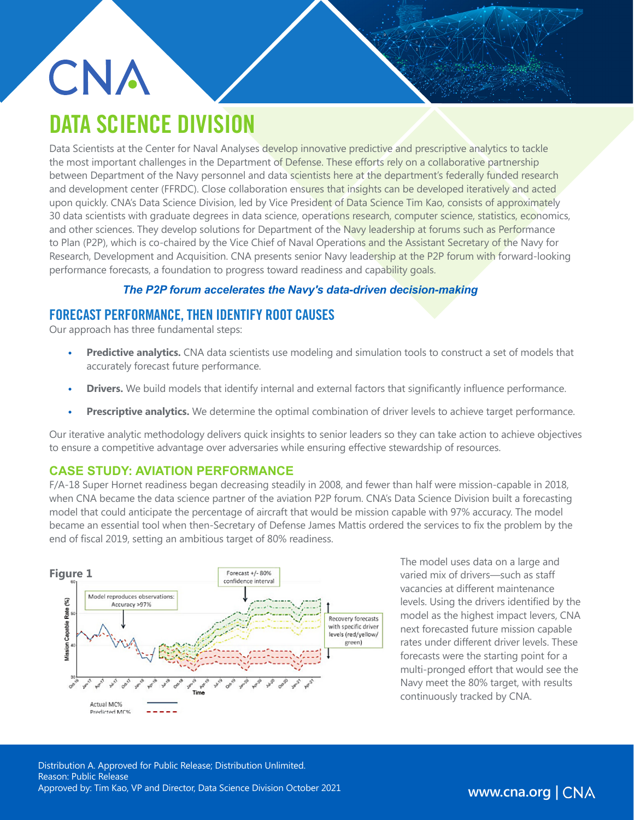# CNA DATA SCIENCE DIVISION

Data Scientists at the Center for Naval Analyses develop innovative predictive and prescriptive analytics to tackle the most important challenges in the Department of Defense. These efforts rely on a collaborative partnership between Department of the Navy personnel and data scientists here at the department's federally funded research and development center (FFRDC). Close collaboration ensures that insights can be developed iteratively and acted upon quickly. CNA's Data Science Division, led by Vice President of Data Science Tim Kao, consists of approximately 30 data scientists with graduate degrees in data science, operations research, computer science, statistics, economics, and other sciences. They develop solutions for Department of the Navy leadership at forums such as Performance to Plan (P2P), which is co-chaired by the Vice Chief of Naval Operations and the Assistant Secretary of the Navy for Research, Development and Acquisition. CNA presents senior Navy leadership at the P2P forum with forward-looking performance forecasts, a foundation to progress toward readiness and capability goals.

#### *The P2P forum accelerates the Navy's data-driven decision-making*

### FORECAST PERFORMANCE, THEN IDENTIFY ROOT CAUSES

Our approach has three fundamental steps:

- **• Predictive analytics.** CNA data scientists use modeling and simulation tools to construct a set of models that accurately forecast future performance.
- **• Drivers.** We build models that identify internal and external factors that significantly influence performance.
- **• Prescriptive analytics.** We determine the optimal combination of driver levels to achieve target performance.

Our iterative analytic methodology delivers quick insights to senior leaders so they can take action to achieve objectives to ensure a competitive advantage over adversaries while ensuring effective stewardship of resources.

#### **CASE STUDY: AVIATION PERFORMANCE**

F/A-18 Super Hornet readiness began decreasing steadily in 2008, and fewer than half were mission-capable in 2018, when CNA became the data science partner of the aviation P2P forum. CNA's Data Science Division built a forecasting model that could anticipate the percentage of aircraft that would be mission capable with 97% accuracy. The model became an essential tool when then-Secretary of Defense James Mattis ordered the services to fix the problem by the end of fiscal 2019, setting an ambitious target of 80% readiness.



The model uses data on a large and varied mix of drivers—such as staff vacancies at different maintenance levels. Using the drivers identified by the model as the highest impact levers, CNA next forecasted future mission capable rates under different driver levels. These forecasts were the starting point for a multi-pronged effort that would see the Navy meet the 80% target, with results continuously tracked by CNA.

Distribution A. Approved for Public Release; Distribution Unlimited. Reason: Public Release Approved by: Tim Kao, VP and Director, Data Science Division October 2021

www.cna.org | CNA